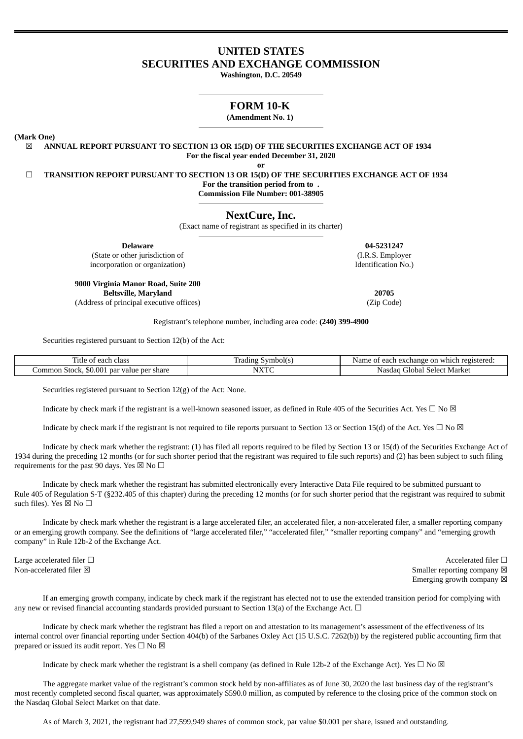# **UNITED STATES SECURITIES AND EXCHANGE COMMISSION**

**Washington, D.C. 20549**

## **FORM 10-K**

**(Amendment No. 1)**

**(Mark One)**

☒ **ANNUAL REPORT PURSUANT TO SECTION 13 OR 15(D) OF THE SECURITIES EXCHANGE ACT OF 1934 For the fiscal year ended December 31, 2020**

**or**

☐ **TRANSITION REPORT PURSUANT TO SECTION 13 OR 15(D) OF THE SECURITIES EXCHANGE ACT OF 1934 For the transition period from to .**

**Commission File Number: 001-38905**

**NextCure, Inc.**

(Exact name of registrant as specified in its charter)

**Delaware 04-5231247** (State or other jurisdiction of incorporation or organization)

**9000 Virginia Manor Road, Suite 200 Beltsville, Maryland 20705**

(Address of principal executive offices) (Zip Code)

Registrant's telephone number, including area code: **(240) 399-4900**

Securities registered pursuant to Section 12(b) of the Act:

| $\sim$<br>each<br>. 1tle<br>- OT<br>CIASS                                  | ivmbo<br>adını | registered:<br>.1 exchange<br>on<br>which<br>each<br>'ame :<br>Ωt |
|----------------------------------------------------------------------------|----------------|-------------------------------------------------------------------|
| \$0.001<br>share<br>value<br>ner<br>Stock.<br>mmon<br>$\sim$ $\sim$<br>par | <b>NXTC</b>    | Market<br>.select -<br>Globai<br>'Nasda.                          |

Securities registered pursuant to Section 12(g) of the Act: None.

Indicate by check mark if the registrant is a well-known seasoned issuer, as defined in Rule 405 of the Securities Act. Yes  $\Box$  No  $\boxtimes$ 

Indicate by check mark if the registrant is not required to file reports pursuant to Section 13 or Section 15(d) of the Act. Yes  $\Box$  No  $\boxtimes$ 

Indicate by check mark whether the registrant: (1) has filed all reports required to be filed by Section 13 or 15(d) of the Securities Exchange Act of 1934 during the preceding 12 months (or for such shorter period that the registrant was required to file such reports) and (2) has been subject to such filing requirements for the past 90 days. Yes  $\boxtimes$  No  $\Box$ 

Indicate by check mark whether the registrant has submitted electronically every Interactive Data File required to be submitted pursuant to Rule 405 of Regulation S-T (§232.405 of this chapter) during the preceding 12 months (or for such shorter period that the registrant was required to submit such files). Yes  $\overline{\boxtimes}$  No  $\Box$ 

Indicate by check mark whether the registrant is a large accelerated filer, an accelerated filer, a non-accelerated filer, a smaller reporting company or an emerging growth company. See the definitions of "large accelerated filer," "accelerated filer," "smaller reporting company" and "emerging growth company" in Rule 12b-2 of the Exchange Act.

Large accelerated filer □ Accelerated filer □ Accelerated filer □ Non-accelerated filer ⊠ 2002 Smaller reporting company ⊠ Emerging growth company  $\boxtimes$ 

If an emerging growth company, indicate by check mark if the registrant has elected not to use the extended transition period for complying with any new or revised financial accounting standards provided pursuant to Section 13(a) of the Exchange Act.  $\Box$ 

Indicate by check mark whether the registrant has filed a report on and attestation to its management's assessment of the effectiveness of its internal control over financial reporting under Section 404(b) of the Sarbanes Oxley Act (15 U.S.C. 7262(b)) by the registered public accounting firm that prepared or issued its audit report. Yes  $\Box$  No  $\boxtimes$ 

Indicate by check mark whether the registrant is a shell company (as defined in Rule 12b-2 of the Exchange Act). Yes  $\Box$  No  $\boxtimes$ 

The aggregate market value of the registrant's common stock held by non-affiliates as of June 30, 2020 the last business day of the registrant's most recently completed second fiscal quarter, was approximately \$590.0 million, as computed by reference to the closing price of the common stock on the Nasdaq Global Select Market on that date.

As of March 3, 2021, the registrant had 27,599,949 shares of common stock, par value \$0.001 per share, issued and outstanding.

(I.R.S. Employer Identification No.)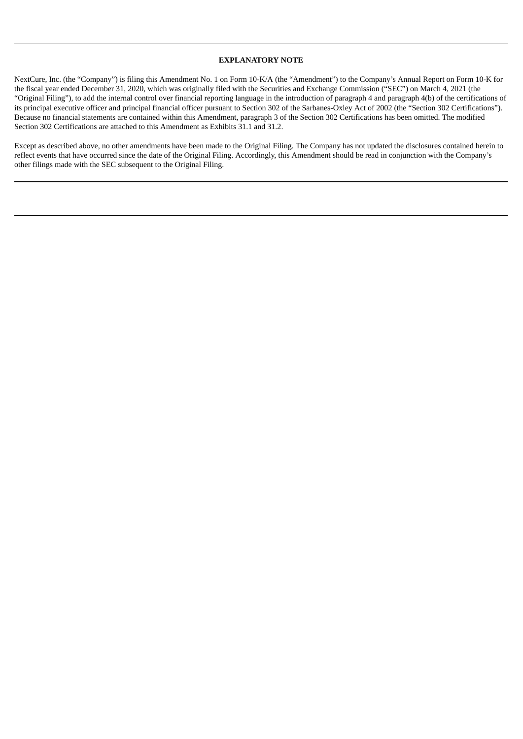#### **EXPLANATORY NOTE**

NextCure, Inc. (the "Company") is filing this Amendment No. 1 on Form 10-K/A (the "Amendment") to the Company's Annual Report on Form 10-K for the fiscal year ended December 31, 2020, which was originally filed with the Securities and Exchange Commission ("SEC") on March 4, 2021 (the "Original Filing"), to add the internal control over financial reporting language in the introduction of paragraph 4 and paragraph 4(b) of the certifications of its principal executive officer and principal financial officer pursuant to Section 302 of the Sarbanes-Oxley Act of 2002 (the "Section 302 Certifications"). Because no financial statements are contained within this Amendment, paragraph 3 of the Section 302 Certifications has been omitted. The modified Section 302 Certifications are attached to this Amendment as Exhibits 31.1 and 31.2.

Except as described above, no other amendments have been made to the Original Filing. The Company has not updated the disclosures contained herein to reflect events that have occurred since the date of the Original Filing. Accordingly, this Amendment should be read in conjunction with the Company's other filings made with the SEC subsequent to the Original Filing.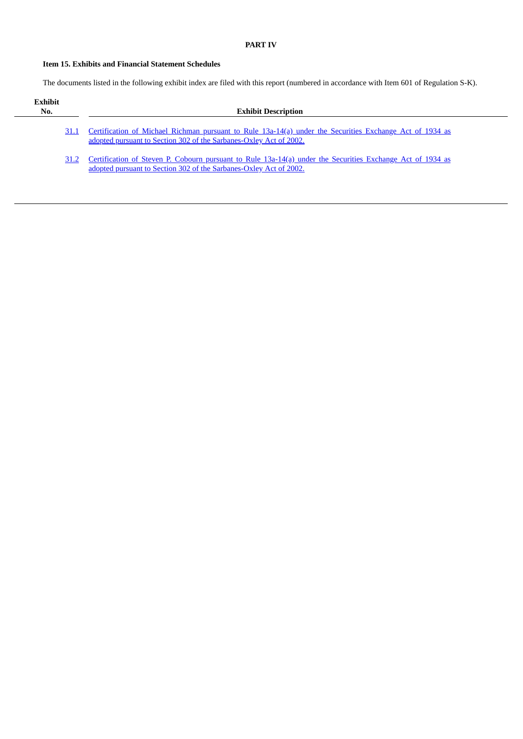#### **PART IV**

## **Item 15. Exhibits and Financial Statement Schedules**

 $\sim$ 

The documents listed in the following exhibit index are filed with this report (numbered in accordance with Item 601 of Regulation S-K).

| Exhibit<br>No. | <b>Exhibit Description</b>                                                                                                                                                       |
|----------------|----------------------------------------------------------------------------------------------------------------------------------------------------------------------------------|
| <b>31.1</b>    | Certification of Michael Richman pursuant to Rule 13a-14(a) under the Securities Exchange Act of 1934 as<br>adopted pursuant to Section 302 of the Sarbanes-Oxley Act of 2002.   |
| 31.2           | Certification of Steven P. Cobourn pursuant to Rule 13a-14(a) under the Securities Exchange Act of 1934 as<br>adopted pursuant to Section 302 of the Sarbanes-Oxley Act of 2002. |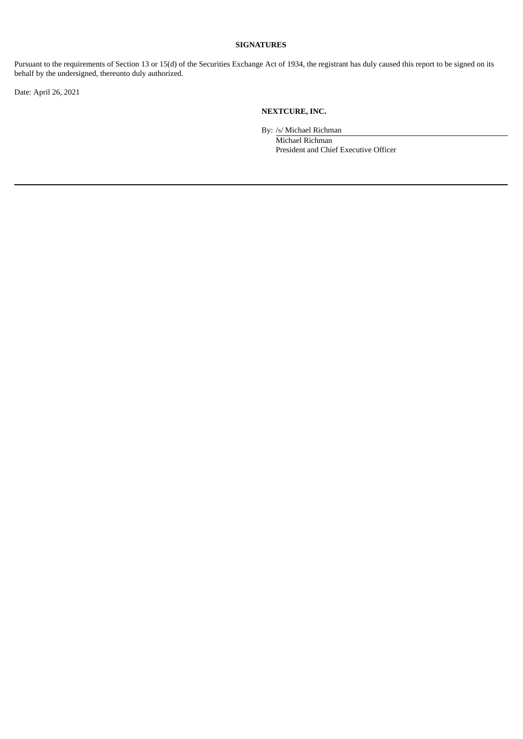## **SIGNATURES**

Pursuant to the requirements of Section 13 or 15(d) of the Securities Exchange Act of 1934, the registrant has duly caused this report to be signed on its behalf by the undersigned, thereunto duly authorized.

Date: April 26, 2021

## **NEXTCURE, INC.**

By: /S/ Michael Richman

Michael Richman President and Chief Executive Officer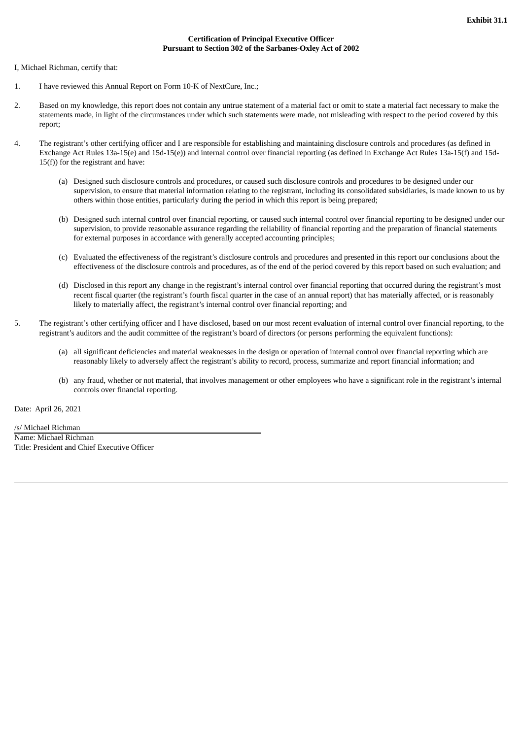#### **Certification of Principal Executive Officer Pursuant to Section 302 of the Sarbanes-Oxley Act of 2002**

<span id="page-5-0"></span>I, Michael Richman, certify that:

- 1. I have reviewed this Annual Report on Form 10-K of NextCure, Inc.;
- 2. Based on my knowledge, this report does not contain any untrue statement of a material fact or omit to state a material fact necessary to make the statements made, in light of the circumstances under which such statements were made, not misleading with respect to the period covered by this report;
- 4. The registrant's other certifying officer and I are responsible for establishing and maintaining disclosure controls and procedures (as defined in Exchange Act Rules 13a-15(e) and 15d-15(e)) and internal control over financial reporting (as defined in Exchange Act Rules 13a-15(f) and 15d-15(f)) for the registrant and have:
	- (a) Designed such disclosure controls and procedures, or caused such disclosure controls and procedures to be designed under our supervision, to ensure that material information relating to the registrant, including its consolidated subsidiaries, is made known to us by others within those entities, particularly during the period in which this report is being prepared;
	- (b) Designed such internal control over financial reporting, or caused such internal control over financial reporting to be designed under our supervision, to provide reasonable assurance regarding the reliability of financial reporting and the preparation of financial statements for external purposes in accordance with generally accepted accounting principles;
	- (c) Evaluated the effectiveness of the registrant's disclosure controls and procedures and presented in this report our conclusions about the effectiveness of the disclosure controls and procedures, as of the end of the period covered by this report based on such evaluation; and
	- (d) Disclosed in this report any change in the registrant's internal control over financial reporting that occurred during the registrant's most recent fiscal quarter (the registrant's fourth fiscal quarter in the case of an annual report) that has materially affected, or is reasonably likely to materially affect, the registrant's internal control over financial reporting; and
- 5. The registrant's other certifying officer and I have disclosed, based on our most recent evaluation of internal control over financial reporting, to the registrant's auditors and the audit committee of the registrant's board of directors (or persons performing the equivalent functions):
	- (a) all significant deficiencies and material weaknesses in the design or operation of internal control over financial reporting which are reasonably likely to adversely affect the registrant's ability to record, process, summarize and report financial information; and
	- (b) any fraud, whether or not material, that involves management or other employees who have a significant role in the registrant's internal controls over financial reporting.

Date: April 26, 2021

/s/ Michael Richman Name: Michael Richman Title: President and Chief Executive Officer